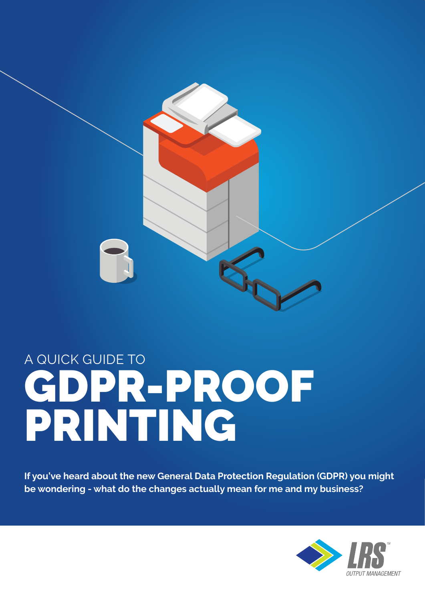

## A QUICK GUIDE TO GDPR-PROOF PRINTING

**If you've heard about the new General Data Protection Regulation (GDPR) you might be wondering - what do the changes actually mean for me and my business?** 

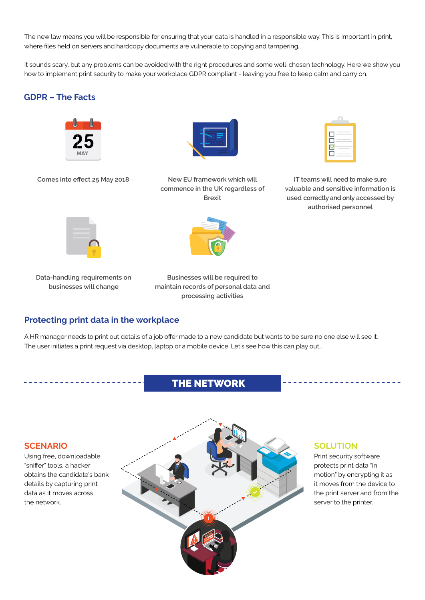The new law means you will be responsible for ensuring that your data is handled in a responsible way. This is important in print, where files held on servers and hardcopy documents are vulnerable to copying and tampering.

It sounds scary, but any problems can be avoided with the right procedures and some well-chosen technology. Here we show you how to implement print security to make your workplace GDPR compliant - leaving you free to keep calm and carry on.

#### **GDPR – The Facts**



**Comes into effect 25 May 2018**



**New EU framework which will commence in the UK regardless of Brexit**

| ٠ |  |
|---|--|

**IT teams will need to make sure valuable and sensitive information is used correctly and only accessed by authorised personnel**



**Data-handling requirements on businesses will change** 



**Businesses will be required to maintain records of personal data and processing activities** 

#### **Protecting print data in the workplace**

A HR manager needs to print out details of a job offer made to a new candidate but wants to be sure no one else will see it. The user initiates a print request via desktop, laptop or a mobile device. Let's see how this can play out...

#### THE NETWORK

#### **SCENARIO**

Using free, downloadable "sniffer" tools, a hacker obtains the candidate's bank details by capturing print data as it moves across the network.



#### **SOLUTION**

Print security software protects print data "in motion" by encrypting it as it moves from the device to the print server and from the server to the printer.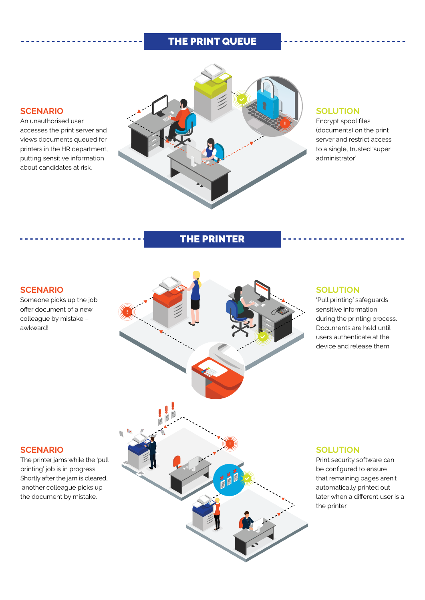#### THE PRINT QUEUE

### **SCENARIO**

An unauthorised user accesses the print server and views documents queued for printers in the HR department, putting sensitive information about candidates at risk.

#### **SOLUTION**

Encrypt spool files (documents) on the print server and restrict access to a single, trusted 'super administrator'

#### THE PRINTER

#### **SCENARIO** Someone picks up the job offer document of a new colleague by mistake – awkward! **SOLUTION** 'Pull printing' safeguards sensitive information during the printing process. Documents are held until users authenticate at the device and release them. **SCENARIO** The printer jams while the 'pull printing' job is in progress. Shortly after the jam is cleared, another colleague picks up the document by mistake. **SOLUTION** Print security software can be configured to ensure that remaining pages aren't automatically printed out later when a different user is a the printer.